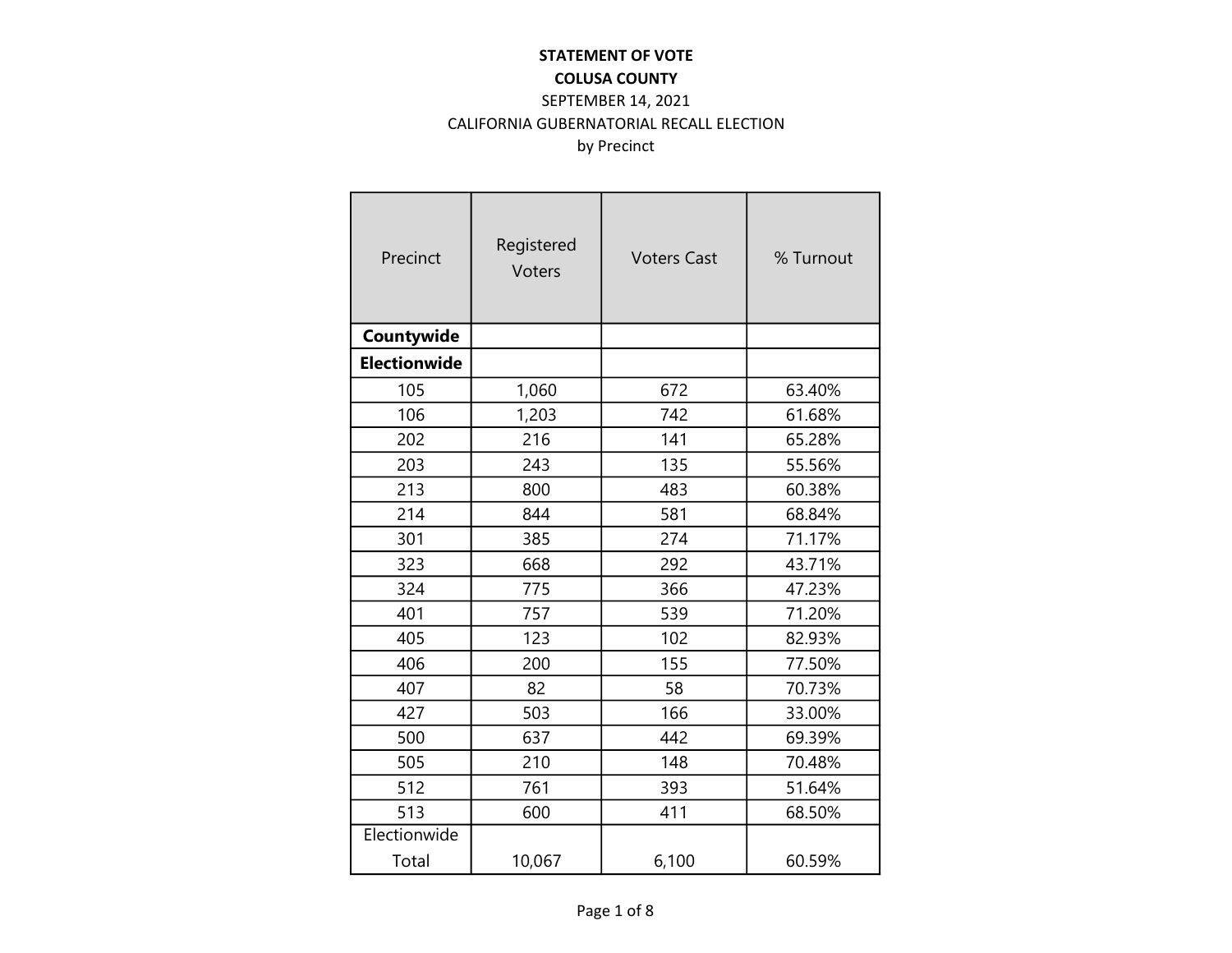# COLUSA COUNTY

# SEPTEMBER 14, 2021 CALIFORNIA GUBERNATORIAL RECALL ELECTION by Precinct

| Precinct            | Registered<br>Voters | <b>Voters Cast</b> | % Turnout |  |  |
|---------------------|----------------------|--------------------|-----------|--|--|
| Countywide          |                      |                    |           |  |  |
| <b>Electionwide</b> |                      |                    |           |  |  |
| 105                 | 1,060                | 672                | 63.40%    |  |  |
| 106                 | 1,203                | 742                | 61.68%    |  |  |
| 202                 | 216                  | 141                | 65.28%    |  |  |
| 203                 | 243                  | 135                | 55.56%    |  |  |
| 213                 | 800                  | 483                | 60.38%    |  |  |
| 214                 | 844                  | 581                | 68.84%    |  |  |
| 301                 | 385                  | 274                | 71.17%    |  |  |
| 323                 | 668                  | 292                | 43.71%    |  |  |
| 324                 | 775                  | 366                | 47.23%    |  |  |
| 401                 | 757                  | 539                | 71.20%    |  |  |
| 405                 | 123                  | 102                | 82.93%    |  |  |
| 406                 | 200                  | 155                | 77.50%    |  |  |
| 407                 | 82                   | 58                 | 70.73%    |  |  |
| 427                 | 503                  | 166                | 33.00%    |  |  |
| 500                 | 637                  | 442                | 69.39%    |  |  |
| 505                 | 210                  | 148                | 70.48%    |  |  |
| 512                 | 761                  | 393                | 51.64%    |  |  |
| 513                 | 600                  | 411                | 68.50%    |  |  |
| Electionwide        |                      |                    |           |  |  |
| Total               | 10,067               | 6,100              | 60.59%    |  |  |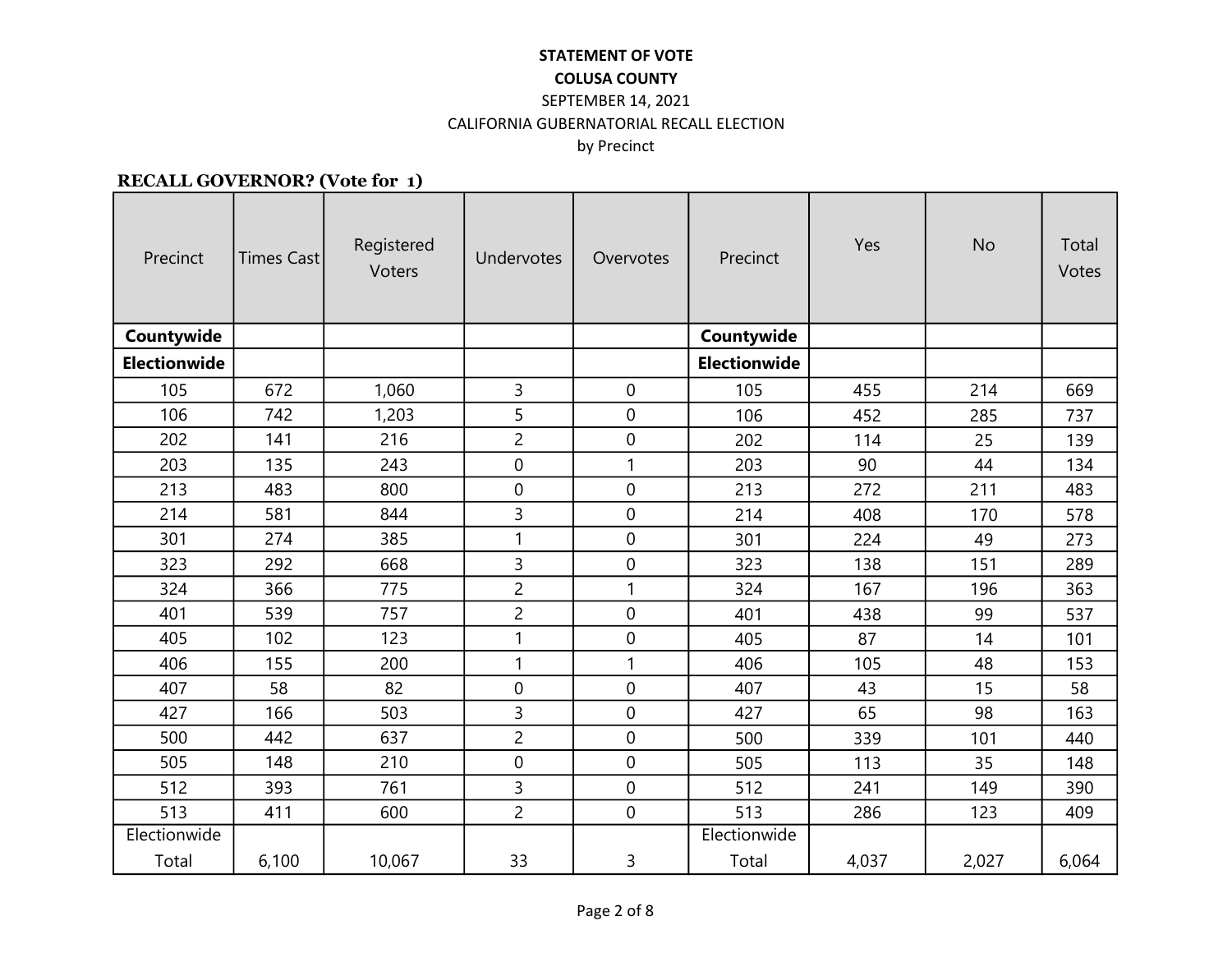## COLUSA COUNTY

# SEPTEMBER 14, 2021 CALIFORNIA GUBERNATORIAL RECALL ELECTION by Precinct

## RECALL GOVERNOR? (Vote for 1)

| Precinct            | Times Cast | Registered<br>Voters | Undervotes       | Overvotes        | Precinct            | Yes   | <b>No</b> | Total<br>Votes |
|---------------------|------------|----------------------|------------------|------------------|---------------------|-------|-----------|----------------|
| Countywide          |            |                      |                  |                  | Countywide          |       |           |                |
| <b>Electionwide</b> |            |                      |                  |                  | <b>Electionwide</b> |       |           |                |
| 105                 | 672        | 1,060                | 3                | 0                | 105                 | 455   | 214       | 669            |
| 106                 | 742        | 1,203                | 5                | $\pmb{0}$        | 106                 | 452   | 285       | 737            |
| 202                 | 141        | 216                  | $\overline{c}$   | $\pmb{0}$        | 202                 | 114   | 25        | 139            |
| 203                 | 135        | 243                  | $\boldsymbol{0}$ | $\mathbf{1}$     | 203                 | 90    | 44        | 134            |
| 213                 | 483        | 800                  | $\boldsymbol{0}$ | $\mathbf 0$      | 213                 | 272   | 211       | 483            |
| 214                 | 581        | 844                  | 3                | $\boldsymbol{0}$ | 214                 | 408   | 170       | 578            |
| 301                 | 274        | 385                  | 1                | $\boldsymbol{0}$ | 301                 | 224   | 49        | 273            |
| 323                 | 292        | 668                  | 3                | $\mathbf 0$      | 323                 | 138   | 151       | 289            |
| 324                 | 366        | 775                  | $\overline{c}$   | 1                | 324                 | 167   | 196       | 363            |
| 401                 | 539        | 757                  | $\overline{2}$   | $\mathbf 0$      | 401                 | 438   | 99        | 537            |
| 405                 | 102        | 123                  | $\mathbf{1}$     | $\mathbf 0$      | 405                 | 87    | 14        | 101            |
| 406                 | 155        | 200                  | $\mathbf{1}$     | 1                | 406                 | 105   | 48        | 153            |
| 407                 | 58         | 82                   | $\mathbf 0$      | $\mathbf 0$      | 407                 | 43    | 15        | 58             |
| 427                 | 166        | 503                  | 3                | $\boldsymbol{0}$ | 427                 | 65    | 98        | 163            |
| 500                 | 442        | 637                  | $\overline{c}$   | $\mathbf 0$      | 500                 | 339   | 101       | 440            |
| 505                 | 148        | 210                  | $\boldsymbol{0}$ | $\mathbf 0$      | 505                 | 113   | 35        | 148            |
| 512                 | 393        | 761                  | 3                | $\mathbf 0$      | 512                 | 241   | 149       | 390            |
| 513                 | 411        | 600                  | $\overline{2}$   | $\mathbf 0$      | 513                 | 286   | 123       | 409            |
| Electionwide        |            |                      |                  |                  | Electionwide        |       |           |                |
| Total               | 6,100      | 10,067               | 33               | 3                | Total               | 4,037 | 2,027     | 6,064          |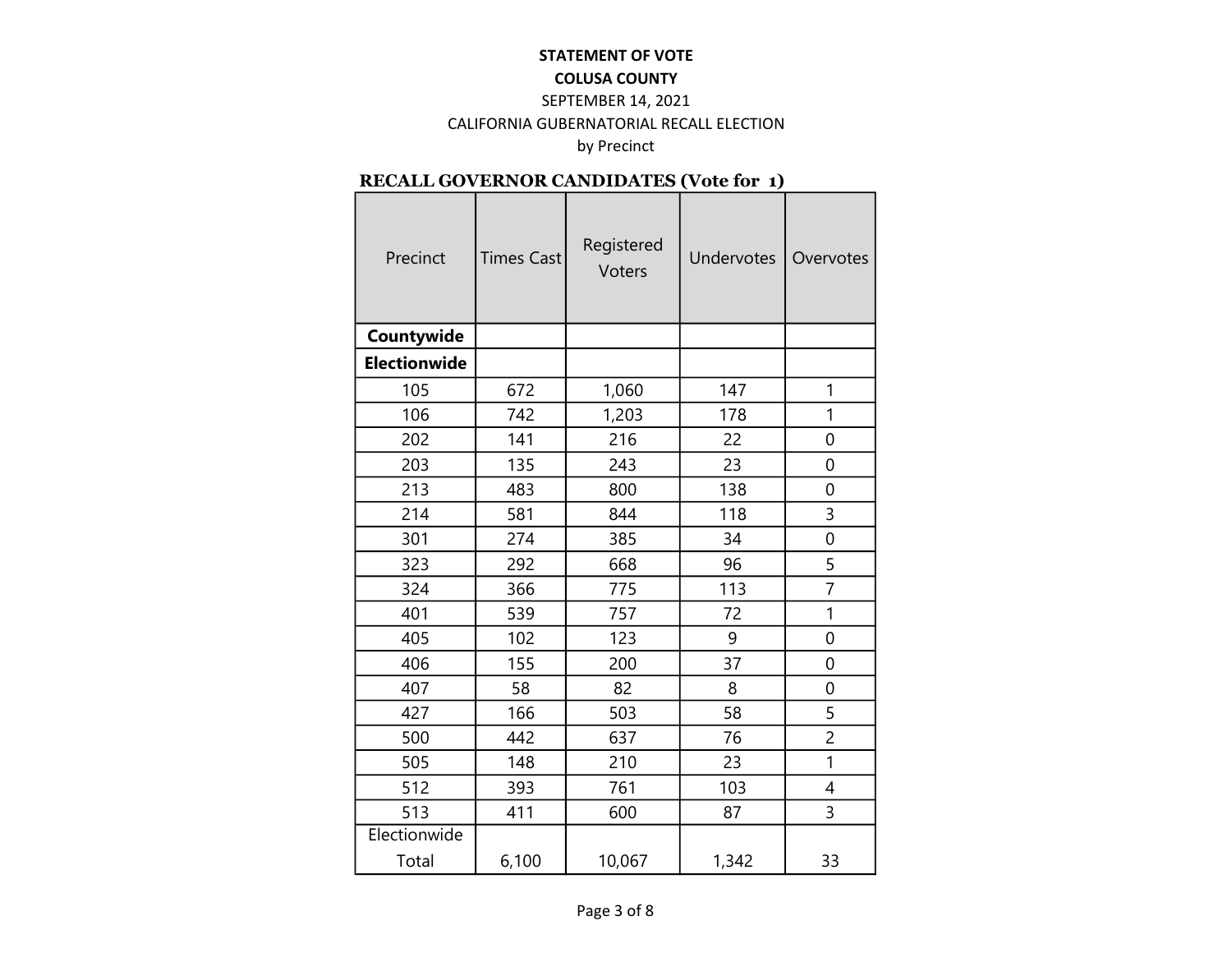#### COLUSA COUNTY

# SEPTEMBER 14, 2021 CALIFORNIA GUBERNATORIAL RECALL ELECTION by Precinct

| Precinct            | Times Cast | Registered<br>Voters | Undervotes | Overvotes      |
|---------------------|------------|----------------------|------------|----------------|
| Countywide          |            |                      |            |                |
| <b>Electionwide</b> |            |                      |            |                |
| 105                 | 672        | 1,060                | 147        | 1              |
| 106                 | 742        | 1,203                | 178        | 1              |
| 202                 | 141        | 216                  | 22         | $\mathbf 0$    |
| 203                 | 135        | 243                  | 23         | $\overline{0}$ |
| 213                 | 483        | 800                  | 138        | $\mathbf 0$    |
| 214                 | 581        | 844                  | 118        | 3              |
| 301                 | 274        | 385                  | 34         | 0              |
| 323                 | 292        | 668                  | 96         | 5              |
| 324                 | 366        | 775                  | 113        | $\overline{7}$ |
| 401                 | 539        | 757                  | 72         | 1              |
| 405                 | 102        | 123                  | 9          | $\mathbf 0$    |
| 406                 | 155        | 200                  | 37         | $\mathbf 0$    |
| 407                 | 58         | 82                   | 8          | $\mathbf 0$    |
| 427                 | 166        | 503                  | 58         | 5              |
| 500                 | 442        | 637                  | 76         | $\overline{c}$ |
| 505                 | 148        | 210                  | 23         | 1              |
| 512                 | 393        | 761                  | 103        | 4              |
| 513                 | 411        | 600                  | 87         | 3              |
| Electionwide        |            |                      |            |                |
| Total               | 6,100      | 10,067               | 1,342      | 33             |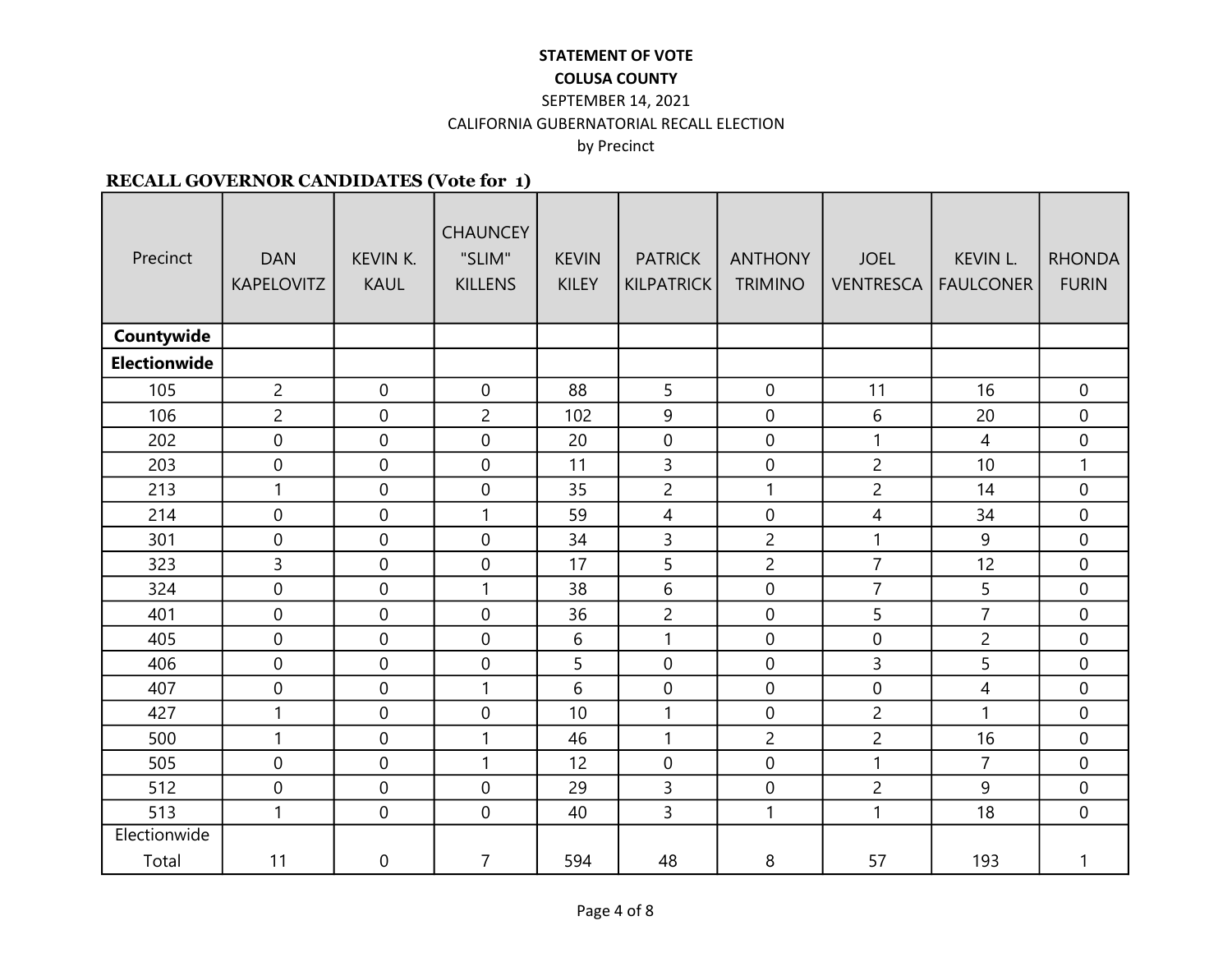## COLUSA COUNTY

# SEPTEMBER 14, 2021

## CALIFORNIA GUBERNATORIAL RECALL ELECTION

by Precinct

| Precinct            | <b>DAN</b><br><b>KAPELOVITZ</b> | <b>KEVIN K.</b><br><b>KAUL</b> | <b>CHAUNCEY</b><br>"SLIM"<br><b>KILLENS</b> | <b>KEVIN</b><br><b>KILEY</b> | <b>PATRICK</b><br><b>KILPATRICK</b> | <b>ANTHONY</b><br><b>TRIMINO</b> | <b>JOEL</b><br><b>VENTRESCA</b> | <b>KEVIN L.</b><br><b>FAULCONER</b> | <b>RHONDA</b><br><b>FURIN</b> |
|---------------------|---------------------------------|--------------------------------|---------------------------------------------|------------------------------|-------------------------------------|----------------------------------|---------------------------------|-------------------------------------|-------------------------------|
| Countywide          |                                 |                                |                                             |                              |                                     |                                  |                                 |                                     |                               |
| <b>Electionwide</b> |                                 |                                |                                             |                              |                                     |                                  |                                 |                                     |                               |
| 105                 | $\overline{2}$                  | $\mathbf 0$                    | 0                                           | 88                           | 5                                   | $\mathbf 0$                      | 11                              | 16                                  | $\mathbf 0$                   |
| 106                 | $\overline{2}$                  | $\mathbf 0$                    | $\overline{2}$                              | 102                          | 9                                   | 0                                | 6                               | 20                                  | $\mathbf 0$                   |
| 202                 | 0                               | $\mathbf 0$                    | $\boldsymbol{0}$                            | 20                           | $\boldsymbol{0}$                    | 0                                | $\mathbf{1}$                    | $\overline{4}$                      | $\boldsymbol{0}$              |
| 203                 | 0                               | $\mathbf 0$                    | $\mathbf 0$                                 | 11                           | 3                                   | $\overline{0}$                   | $\overline{2}$                  | 10                                  | 1                             |
| 213                 | $\mathbf{1}$                    | $\mathbf 0$                    | $\mathbf 0$                                 | 35                           | $\overline{2}$                      | 1                                | $\overline{2}$                  | 14                                  | 0                             |
| 214                 | 0                               | $\mathbf 0$                    | $\mathbf{1}$                                | 59                           | $\overline{4}$                      | $\mathbf 0$                      | 4                               | 34                                  | 0                             |
| 301                 | $\mathbf 0$                     | $\mathbf 0$                    | $\boldsymbol{0}$                            | 34                           | 3                                   | $\overline{c}$                   | $\mathbf{1}$                    | 9                                   | $\boldsymbol{0}$              |
| 323                 | 3                               | $\mathbf 0$                    | $\mathbf 0$                                 | 17                           | 5                                   | $\overline{2}$                   | $\overline{7}$                  | 12                                  | $\mathbf 0$                   |
| 324                 | $\mathbf 0$                     | $\mathbf 0$                    | $\mathbf{1}$                                | 38                           | 6                                   | $\mathbf 0$                      | $\overline{7}$                  | 5                                   | $\boldsymbol{0}$              |
| 401                 | 0                               | $\mathbf 0$                    | $\mathbf 0$                                 | 36                           | $\overline{c}$                      | $\overline{0}$                   | 5                               | $\overline{7}$                      | $\mathbf 0$                   |
| 405                 | 0                               | $\overline{0}$                 | $\mathbf 0$                                 | 6                            | $\mathbf{1}$                        | $\overline{0}$                   | $\mathbf 0$                     | $\overline{c}$                      | $\mathbf 0$                   |
| 406                 | 0                               | $\mathbf 0$                    | $\mathbf 0$                                 | 5                            | $\overline{0}$                      | $\overline{0}$                   | 3                               | 5                                   | 0                             |
| 407                 | 0                               | $\mathbf 0$                    | $\mathbf{1}$                                | 6                            | $\mathbf 0$                         | 0                                | $\mathbf 0$                     | $\overline{4}$                      | 0                             |
| 427                 | $\mathbf{1}$                    | $\mathbf 0$                    | $\boldsymbol{0}$                            | 10                           | $\mathbf{1}$                        | 0                                | $\overline{c}$                  | $\mathbf{1}$                        | 0                             |
| 500                 | $\mathbf{1}$                    | $\mathbf 0$                    | $\mathbf{1}$                                | 46                           | $\mathbf{1}$                        | $\overline{2}$                   | $\overline{c}$                  | 16                                  | $\mathbf 0$                   |
| 505                 | 0                               | $\mathbf 0$                    | $\mathbf{1}$                                | 12                           | $\overline{0}$                      | $\overline{0}$                   | $\mathbf{1}$                    | $\overline{7}$                      | 0                             |
| 512                 | 0                               | $\mathbf 0$                    | $\mathbf 0$                                 | 29                           | 3                                   | 0                                | $\overline{2}$                  | 9                                   | 0                             |
| 513                 | 1                               | $\mathbf 0$                    | $\mathbf 0$                                 | 40                           | 3                                   | 1                                | $\mathbf{1}$                    | 18                                  | 0                             |
| Electionwide        |                                 |                                |                                             |                              |                                     |                                  |                                 |                                     |                               |
| Total               | 11                              | $\mathbf 0$                    | 7                                           | 594                          | 48                                  | 8                                | 57                              | 193                                 | 1                             |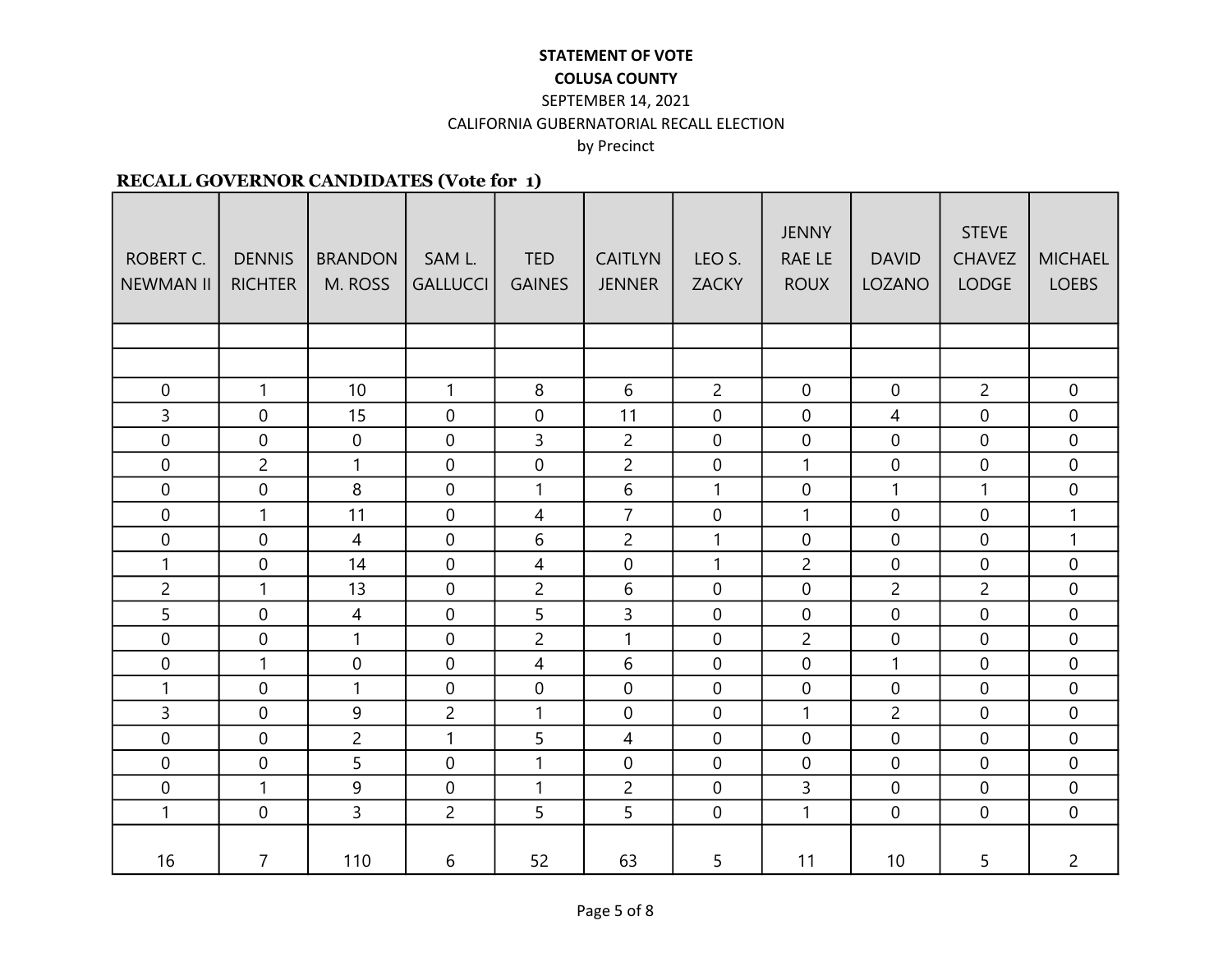## COLUSA COUNTY

# SEPTEMBER 14, 2021

## CALIFORNIA GUBERNATORIAL RECALL ELECTION

by Precinct

| ROBERT C.<br><b>NEWMAN II</b> | <b>DENNIS</b><br><b>RICHTER</b> | <b>BRANDON</b><br>M. ROSS | SAM L.<br><b>GALLUCCI</b> | <b>TED</b><br><b>GAINES</b> | <b>CAITLYN</b><br><b>JENNER</b> | LEO S.<br><b>ZACKY</b> | <b>JENNY</b><br><b>RAE LE</b><br><b>ROUX</b> | <b>DAVID</b><br><b>LOZANO</b> | <b>STEVE</b><br><b>CHAVEZ</b><br><b>LODGE</b> | <b>MICHAEL</b><br><b>LOEBS</b> |
|-------------------------------|---------------------------------|---------------------------|---------------------------|-----------------------------|---------------------------------|------------------------|----------------------------------------------|-------------------------------|-----------------------------------------------|--------------------------------|
|                               |                                 |                           |                           |                             |                                 |                        |                                              |                               |                                               |                                |
|                               |                                 |                           |                           |                             |                                 |                        |                                              |                               |                                               |                                |
| $\mathbf 0$                   | $\mathbf{1}$                    | 10                        | $\mathbf{1}$              | 8                           | 6                               | $\overline{2}$         | $\mathbf 0$                                  | $\mathbf 0$                   | $\overline{2}$                                | $\mathbf 0$                    |
| 3                             | $\mathbf 0$                     | 15                        | $\mathbf 0$               | $\mathbf 0$                 | 11                              | $\mathbf 0$            | $\mathbf 0$                                  | $\overline{4}$                | $\mathbf 0$                                   | $\mathbf 0$                    |
| $\mathbf 0$                   | $\mathbf 0$                     | $\mathbf 0$               | $\mathbf 0$               | 3                           | $\overline{c}$                  | $\mathbf 0$            | $\overline{0}$                               | $\mathbf 0$                   | $\overline{0}$                                | $\overline{0}$                 |
| $\mathbf 0$                   | $\overline{2}$                  | $\mathbf{1}$              | $\overline{0}$            | $\overline{0}$              | $\overline{c}$                  | $\mathbf 0$            | $\mathbf{1}$                                 | 0                             | $\mathbf 0$                                   | $\mathbf 0$                    |
| $\mathbf 0$                   | $\mathbf 0$                     | 8                         | $\overline{0}$            | $\mathbf{1}$                | 6                               | 1                      | $\overline{0}$                               | $\mathbf{1}$                  | $\mathbf{1}$                                  | $\overline{0}$                 |
| $\mathbf 0$                   | $\mathbf{1}$                    | 11                        | $\overline{0}$            | 4                           | $\overline{7}$                  | $\mathbf{0}$           | $\mathbf{1}$                                 | 0                             | $\overline{0}$                                | 1                              |
| $\boldsymbol{0}$              | $\mathbf 0$                     | 4                         | $\mathbf 0$               | 6                           | $\overline{c}$                  | $\mathbf{1}$           | $\mathbf 0$                                  | 0                             | $\mathbf 0$                                   | $\mathbf{1}$                   |
| $\mathbf{1}$                  | $\mathbf 0$                     | 14                        | $\mathbf{0}$              | 4                           | $\mathbf 0$                     | $\mathbf{1}$           | $\overline{2}$                               | 0                             | $\overline{0}$                                | $\mathbf 0$                    |
| $\overline{c}$                | $\mathbf{1}$                    | 13                        | $\mathbf{0}$              | $\overline{2}$              | 6                               | $\mathbf{0}$           | $\overline{0}$                               | $\overline{2}$                | $\overline{2}$                                | $\mathbf 0$                    |
| 5                             | $\mathbf 0$                     | $\overline{4}$            | $\mathbf{0}$              | 5                           | $\overline{3}$                  | $\mathbf{0}$           | $\overline{0}$                               | $\mathbf 0$                   | $\overline{0}$                                | $\mathbf{0}$                   |
| $\mathbf 0$                   | $\mathbf{0}$                    | $\mathbf{1}$              | $\mathbf{0}$              | $\overline{2}$              | $\mathbf{1}$                    | $\mathbf 0$            | $\overline{2}$                               | 0                             | $\overline{0}$                                | $\overline{0}$                 |
| $\mathbf 0$                   | 1                               | $\overline{0}$            | $\mathbf 0$               | $\overline{4}$              | 6                               | $\mathbf 0$            | $\overline{0}$                               | 1                             | $\mathbf{0}$                                  | $\mathbf 0$                    |
| 1                             | 0                               | $\mathbf{1}$              | 0                         | $\overline{0}$              | $\mathbf 0$                     | $\overline{0}$         | $\mathbf 0$                                  | 0                             | $\mathbf{0}$                                  | $\mathbf 0$                    |
| 3                             | $\overline{0}$                  | 9                         | $\overline{2}$            | $\mathbf{1}$                | $\mathbf 0$                     | $\mathbf{0}$           | $\mathbf{1}$                                 | $\overline{2}$                | $\overline{0}$                                | $\overline{0}$                 |
| $\mathbf 0$                   | $\mathbf{0}$                    | $\overline{c}$            | $\mathbf{1}$              | 5                           | $\overline{4}$                  | $\overline{0}$         | $\overline{0}$                               | $\mathbf 0$                   | $\overline{0}$                                | $\overline{0}$                 |
| $\mathbf 0$                   | $\mathbf{0}$                    | 5                         | $\mathbf 0$               | $\mathbf{1}$                | $\mathbf 0$                     | $\mathbf{0}$           | $\overline{0}$                               | $\mathbf 0$                   | $\overline{0}$                                | $\mathbf 0$                    |
| $\mathbf 0$                   | $\mathbf{1}$                    | 9                         | $\mathbf{0}$              | $\mathbf{1}$                | $\overline{c}$                  | $\mathbf{0}$           | 3                                            | 0                             | 0                                             | $\mathbf 0$                    |
| $\mathbf{1}$                  | $\overline{0}$                  | $\overline{3}$            | $\overline{2}$            | 5                           | 5                               | $\mathbf{0}$           | $\mathbf{1}$                                 | 0                             | $\overline{0}$                                | $\overline{0}$                 |
| 16                            | $\overline{7}$                  | 110                       | 6                         | 52                          | 63                              | 5                      | 11                                           | 10                            | 5                                             | $\overline{2}$                 |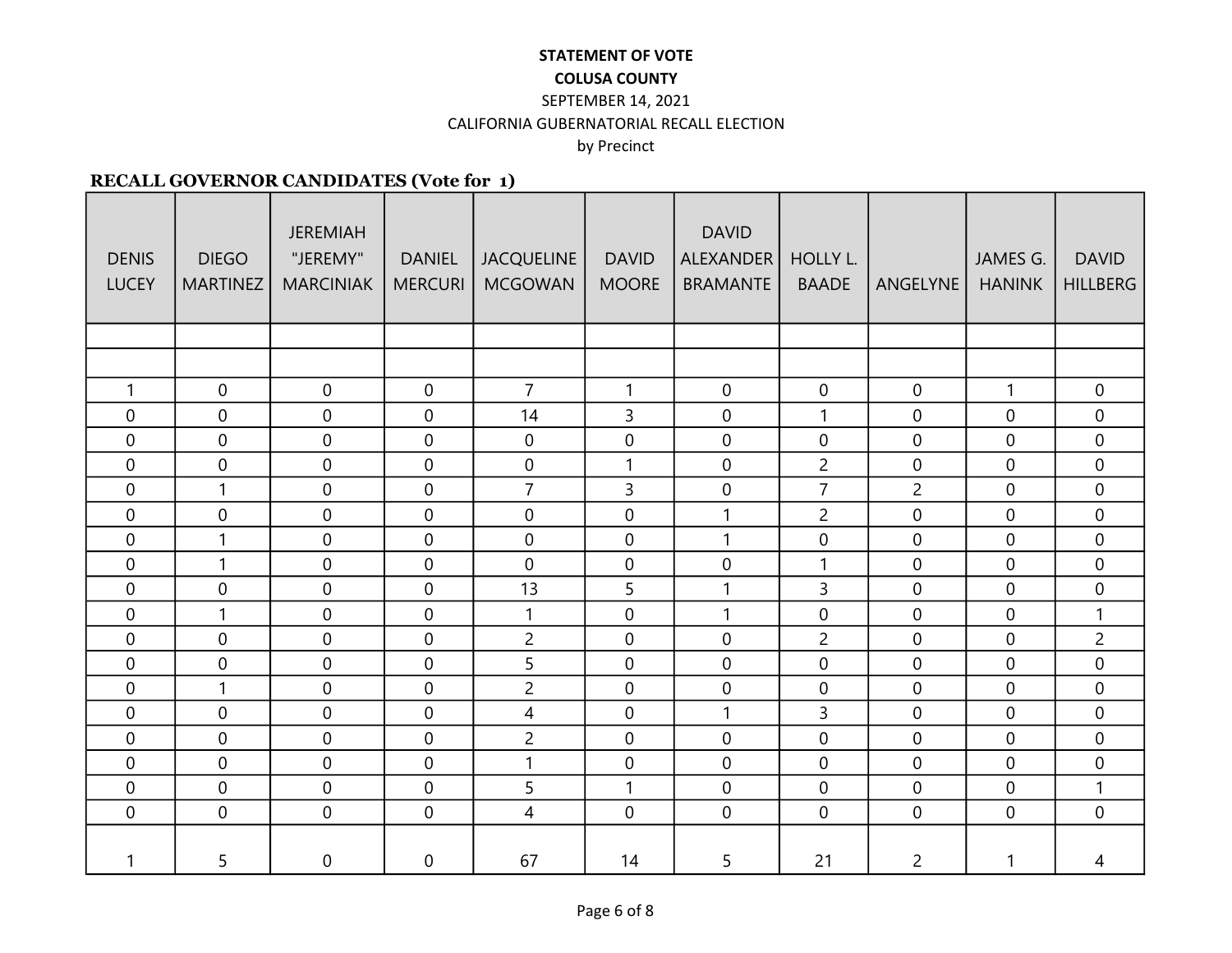## COLUSA COUNTY

# SEPTEMBER 14, 2021 CALIFORNIA GUBERNATORIAL RECALL ELECTION

by Precinct

| <b>DENIS</b><br><b>LUCEY</b> | <b>DIEGO</b><br><b>MARTINEZ</b> | <b>JEREMIAH</b><br>"JEREMY"<br><b>MARCINIAK</b> | <b>DANIEL</b><br><b>MERCURI</b> | <b>JACQUELINE</b><br><b>MCGOWAN</b> | <b>DAVID</b><br><b>MOORE</b> | <b>DAVID</b><br><b>ALEXANDER</b><br><b>BRAMANTE</b> | HOLLY L.<br><b>BAADE</b> | ANGELYNE         | JAMES G.<br><b>HANINK</b> | <b>DAVID</b><br><b>HILLBERG</b> |
|------------------------------|---------------------------------|-------------------------------------------------|---------------------------------|-------------------------------------|------------------------------|-----------------------------------------------------|--------------------------|------------------|---------------------------|---------------------------------|
|                              |                                 |                                                 |                                 |                                     |                              |                                                     |                          |                  |                           |                                 |
|                              |                                 |                                                 |                                 |                                     |                              |                                                     |                          |                  |                           |                                 |
| $\mathbf{1}$                 | $\mathbf 0$                     | $\overline{0}$                                  | $\overline{0}$                  | $\overline{7}$                      | $\mathbf{1}$                 | $\overline{0}$                                      | $\overline{0}$           | $\overline{0}$   | $\mathbf{1}$              | $\mathbf 0$                     |
| $\mathbf{0}$                 | $\mathbf{0}$                    | $\mathbf 0$                                     | $\mathbf 0$                     | 14                                  | $\overline{3}$               | $\mathbf 0$                                         | $\mathbf{1}$             | $\mathbf 0$      | $\overline{0}$            | $\mathbf 0$                     |
| $\mathbf 0$                  | $\mathbf 0$                     | $\mathbf 0$                                     | $\boldsymbol{0}$                | $\mathbf 0$                         | $\boldsymbol{0}$             | $\mathbf 0$                                         | $\boldsymbol{0}$         | $\mathbf 0$      | $\mathbf 0$               | $\mathbf 0$                     |
| $\mathbf 0$                  | $\mathbf{0}$                    | $\mathbf 0$                                     | $\mathbf 0$                     | $\mathbf 0$                         | $\mathbf{1}$                 | $\mathbf 0$                                         | $\overline{2}$           | $\mathbf 0$      | $\overline{0}$            | $\mathbf 0$                     |
| $\mathbf 0$                  | $\mathbf{1}$                    | $\mathbf{0}$                                    | $\mathbf 0$                     | $\overline{7}$                      | 3                            | $\overline{0}$                                      | $\overline{7}$           | $\overline{2}$   | $\overline{0}$            | $\overline{0}$                  |
| $\mathbf 0$                  | $\overline{0}$                  | $\mathbf 0$                                     | $\mathbf 0$                     | $\mathbf 0$                         | $\boldsymbol{0}$             | $\mathbf{1}$                                        | $\overline{c}$           | $\mathbf 0$      | $\overline{0}$            | $\mathbf 0$                     |
| $\mathbf{0}$                 | $\mathbf{1}$                    | $\mathbf 0$                                     | $\mathbf 0$                     | $\mathbf 0$                         | 0                            | $\mathbf{1}$                                        | $\mathbf 0$              | $\mathbf 0$      | $\overline{0}$            | $\mathbf 0$                     |
| $\mathbf{0}$                 | $\mathbf{1}$                    | $\mathbf{0}$                                    | $\mathbf 0$                     | $\overline{0}$                      | $\mathbf 0$                  | $\mathbf 0$                                         | $\mathbf{1}$             | $\overline{0}$   | $\overline{0}$            | $\mathbf 0$                     |
| $\overline{0}$               | $\overline{0}$                  | $\mathbf 0$                                     | $\mathbf 0$                     | 13                                  | 5                            | 1                                                   | $\overline{3}$           | $\mathbf 0$      | $\overline{0}$            | $\mathbf 0$                     |
| $\boldsymbol{0}$             | $\mathbf{1}$                    | $\mathbf 0$                                     | $\boldsymbol{0}$                | $\mathbf{1}$                        | $\boldsymbol{0}$             | $\mathbf{1}$                                        | $\boldsymbol{0}$         | $\boldsymbol{0}$ | $\mathbf 0$               | $\mathbf{1}$                    |
| $\mathbf 0$                  | $\mathbf 0$                     | $\mathbf 0$                                     | $\boldsymbol{0}$                | $\overline{c}$                      | $\boldsymbol{0}$             | $\mathbf 0$                                         | $\overline{2}$           | $\mathbf 0$      | $\mathbf 0$               | $\overline{2}$                  |
| $\mathbf 0$                  | $\mathbf 0$                     | $\overline{0}$                                  | $\mathbf 0$                     | 5                                   | $\mathbf 0$                  | $\mathbf 0$                                         | $\boldsymbol{0}$         | $\mathbf 0$      | $\overline{0}$            | $\mathbf 0$                     |
| $\mathbf 0$                  | $\mathbf{1}$                    | $\mathbf 0$                                     | $\boldsymbol{0}$                | $\overline{2}$                      | $\boldsymbol{0}$             | $\mathbf 0$                                         | $\boldsymbol{0}$         | $\mathbf 0$      | $\overline{0}$            | $\mathbf 0$                     |
| $\mathbf{0}$                 | $\overline{0}$                  | $\mathbf 0$                                     | $\mathbf 0$                     | 4                                   | $\mathbf 0$                  | $\mathbf{1}$                                        | $\overline{3}$           | $\overline{0}$   | $\overline{0}$            | $\mathbf 0$                     |
| $\mathbf{0}$                 | $\overline{0}$                  | $\mathbf{0}$                                    | $\mathbf 0$                     | $\overline{2}$                      | $\mathbf 0$                  | $\mathbf 0$                                         | 0                        | $\mathbf 0$      | $\overline{0}$            | $\mathbf 0$                     |
| $\mathbf 0$                  | $\mathbf{0}$                    | $\mathbf{0}$                                    | $\mathbf 0$                     | $\mathbf{1}$                        | $\mathbf 0$                  | $\overline{0}$                                      | $\mathbf 0$              | $\overline{0}$   | $\overline{0}$            | $\mathbf 0$                     |
| $\mathbf{0}$                 | $\mathbf 0$                     | $\mathbf 0$                                     | $\mathbf 0$                     | 5                                   | $\mathbf{1}$                 | $\mathbf 0$                                         | 0                        | $\mathbf 0$      | $\overline{0}$            | $\mathbf{1}$                    |
| $\mathbf 0$                  | $\mathbf{0}$                    | $\mathbf 0$                                     | $\mathbf 0$                     | $\overline{4}$                      | $\mathbf 0$                  | $\mathbf 0$                                         | $\mathbf 0$              | $\mathbf 0$      | $\overline{0}$            | $\mathbf 0$                     |
| $\mathbf{1}$                 | 5                               | $\mathbf 0$                                     | $\boldsymbol{0}$                | 67                                  | 14                           | 5                                                   | 21                       | $\overline{2}$   | 1                         | $\overline{4}$                  |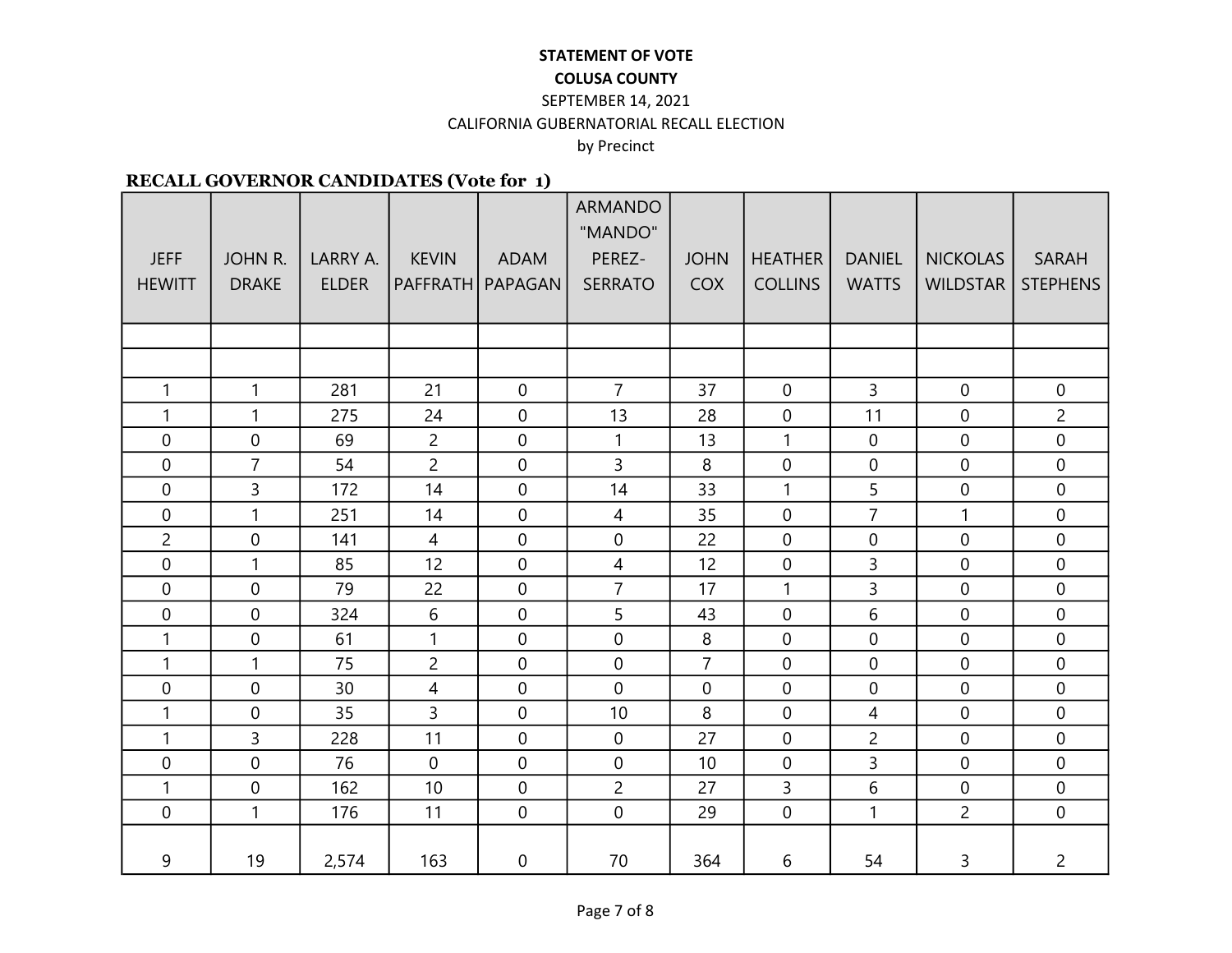## COLUSA COUNTY

#### SEPTEMBER 14, 2021

#### CALIFORNIA GUBERNATORIAL RECALL ELECTION

## by Precinct

|                  |                  |              |                |                  | <b>ARMANDO</b>   |                  |                  |                  |                  |                 |
|------------------|------------------|--------------|----------------|------------------|------------------|------------------|------------------|------------------|------------------|-----------------|
|                  |                  |              |                |                  | "MANDO"          |                  |                  |                  |                  |                 |
| <b>JEFF</b>      | JOHN R.          | LARRY A.     | <b>KEVIN</b>   | <b>ADAM</b>      | PEREZ-           | <b>JOHN</b>      | <b>HEATHER</b>   | <b>DANIEL</b>    | <b>NICKOLAS</b>  | <b>SARAH</b>    |
| <b>HEWITT</b>    | <b>DRAKE</b>     | <b>ELDER</b> | PAFFRATH       | PAPAGAN          | <b>SERRATO</b>   | <b>COX</b>       | <b>COLLINS</b>   | <b>WATTS</b>     | <b>WILDSTAR</b>  | <b>STEPHENS</b> |
|                  |                  |              |                |                  |                  |                  |                  |                  |                  |                 |
|                  |                  |              |                |                  |                  |                  |                  |                  |                  |                 |
|                  |                  |              |                |                  |                  |                  |                  |                  |                  |                 |
| $\mathbf{1}$     | $\mathbf{1}$     | 281          | 21             | $\mathbf 0$      | $\overline{7}$   | 37               | $\mathbf 0$      | $\overline{3}$   | $\mathbf 0$      | $\mathbf 0$     |
| $\mathbf{1}$     | $\mathbf{1}$     | 275          | 24             | $\mathbf 0$      | 13               | 28               | $\mathbf 0$      | 11               | $\mathbf 0$      | $\overline{2}$  |
| $\overline{0}$   | 0                | 69           | $\overline{c}$ | $\boldsymbol{0}$ | $\mathbf{1}$     | 13               | $\mathbf{1}$     | $\overline{0}$   | $\mathbf 0$      | $\overline{0}$  |
| $\overline{0}$   | $\overline{7}$   | 54           | $\overline{2}$ | $\mathbf 0$      | $\overline{3}$   | 8                | $\mathbf 0$      | $\mathbf{0}$     | $\mathbf 0$      | $\overline{0}$  |
| $\overline{0}$   | 3                | 172          | 14             | $\mathbf 0$      | 14               | 33               | $\mathbf{1}$     | 5                | $\overline{0}$   | $\mathbf 0$     |
| 0                | $\mathbf{1}$     | 251          | 14             | $\boldsymbol{0}$ | $\overline{4}$   | 35               | $\mathbf 0$      | $\overline{7}$   | 1                | $\overline{0}$  |
| $\overline{c}$   | $\boldsymbol{0}$ | 141          | $\overline{4}$ | $\boldsymbol{0}$ | $\boldsymbol{0}$ | 22               | $\mathbf 0$      | $\boldsymbol{0}$ | $\boldsymbol{0}$ | $\mathbf 0$     |
| $\mathbf 0$      | $\mathbf{1}$     | 85           | 12             | $\boldsymbol{0}$ | $\overline{4}$   | 12               | $\boldsymbol{0}$ | $\overline{3}$   | $\mathbf 0$      | $\mathbf 0$     |
| $\mathbf 0$      | $\boldsymbol{0}$ | 79           | 22             | $\boldsymbol{0}$ | $\overline{7}$   | 17               | $\mathbf{1}$     | $\overline{3}$   | $\boldsymbol{0}$ | $\mathbf 0$     |
| $\boldsymbol{0}$ | 0                | 324          | 6              | $\boldsymbol{0}$ | 5                | 43               | $\boldsymbol{0}$ | 6                | $\boldsymbol{0}$ | $\mathbf 0$     |
| $\mathbf{1}$     | $\boldsymbol{0}$ | 61           | $\mathbf{1}$   | $\boldsymbol{0}$ | $\boldsymbol{0}$ | $\, 8$           | $\boldsymbol{0}$ | $\mathbf 0$      | $\boldsymbol{0}$ | $\mathbf 0$     |
| $\mathbf{1}$     | $\mathbf{1}$     | 75           | $\overline{c}$ | $\boldsymbol{0}$ | $\mathbf 0$      | $\overline{7}$   | $\boldsymbol{0}$ | $\mathbf 0$      | $\mathbf 0$      | $\mathbf 0$     |
| 0                | $\boldsymbol{0}$ | 30           | $\overline{4}$ | $\boldsymbol{0}$ | $\mathbf 0$      | $\boldsymbol{0}$ | $\boldsymbol{0}$ | $\mathbf 0$      | $\boldsymbol{0}$ | $\mathbf 0$     |
| $\mathbf{1}$     | 0                | 35           | $\overline{3}$ | $\boldsymbol{0}$ | 10               | 8                | $\boldsymbol{0}$ | $\overline{4}$   | $\boldsymbol{0}$ | $\mathbf 0$     |
| $\mathbf{1}$     | 3                | 228          | 11             | $\boldsymbol{0}$ | $\mathbf 0$      | 27               | $\boldsymbol{0}$ | $\overline{c}$   | $\boldsymbol{0}$ | $\mathbf 0$     |
| 0                | $\mathbf 0$      | 76           | $\mathbf 0$    | $\boldsymbol{0}$ | $\mathbf 0$      | 10               | $\boldsymbol{0}$ | $\overline{3}$   | 0                | $\mathbf 0$     |
| $\mathbf{1}$     | 0                | 162          | 10             | $\boldsymbol{0}$ | $\overline{c}$   | 27               | 3                | 6                | $\boldsymbol{0}$ | $\mathbf 0$     |
| $\mathbf 0$      | $\mathbf{1}$     | 176          | 11             | $\boldsymbol{0}$ | $\mathbf 0$      | 29               | $\boldsymbol{0}$ | $\mathbf{1}$     | $\overline{2}$   | $\mathbf 0$     |
| 9                | 19               | 2,574        | 163            | $\boldsymbol{0}$ | 70               | 364              | 6                | 54               | 3                | $\overline{c}$  |